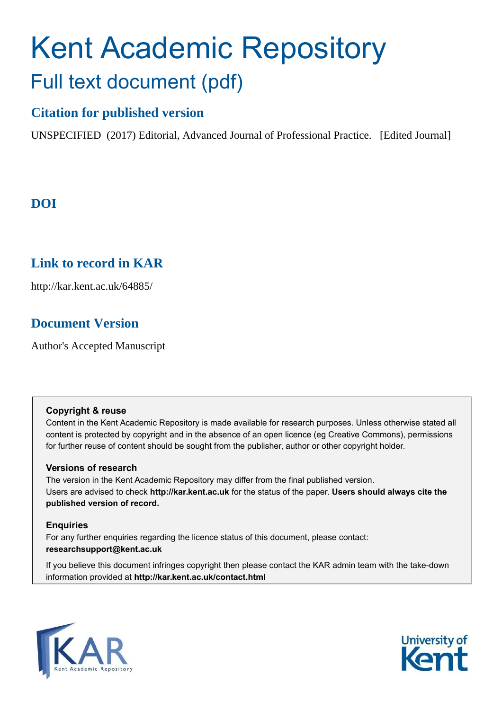# Kent Academic Repository Full text document (pdf)

# **Citation for published version**

UNSPECIFIED (2017) Editorial, Advanced Journal of Professional Practice. [Edited Journal]

# **DOI**

# **Link to record in KAR**

http://kar.kent.ac.uk/64885/

# **Document Version**

Author's Accepted Manuscript

#### **Copyright & reuse**

Content in the Kent Academic Repository is made available for research purposes. Unless otherwise stated all content is protected by copyright and in the absence of an open licence (eg Creative Commons), permissions for further reuse of content should be sought from the publisher, author or other copyright holder.

## **Versions of research**

The version in the Kent Academic Repository may differ from the final published version. Users are advised to check **http://kar.kent.ac.uk** for the status of the paper. **Users should always cite the published version of record.**

## **Enquiries**

For any further enquiries regarding the licence status of this document, please contact: **researchsupport@kent.ac.uk**

If you believe this document infringes copyright then please contact the KAR admin team with the take-down information provided at **http://kar.kent.ac.uk/contact.html**